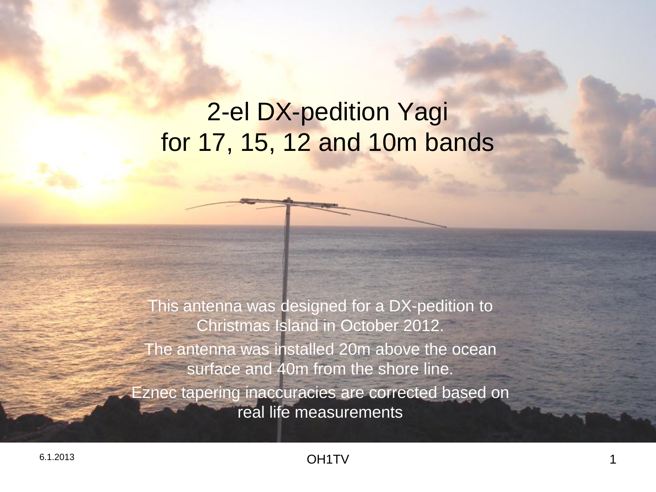## 2-el DX-pedition Yagi for 17, 15, 12 and 10m bands

This antenna was designed for a DX-pedition to Christmas Island in October 2012. The antenna was installed 20m above the ocean surface and 40m from the shore line. Eznec tapering inaccuracies are corrected based on real life measurements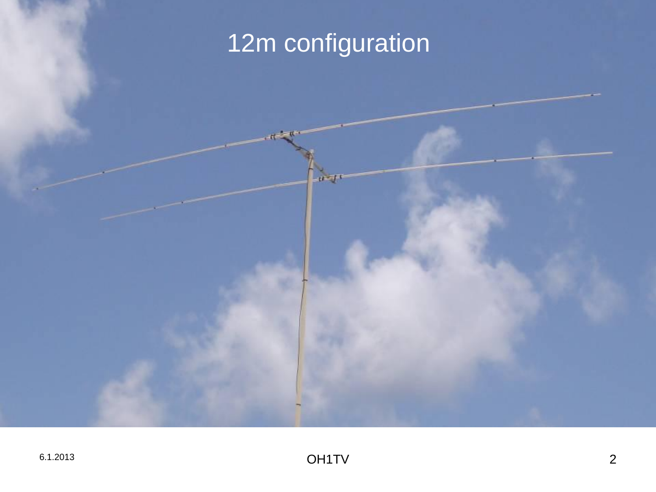# 12m configuration

 $-r$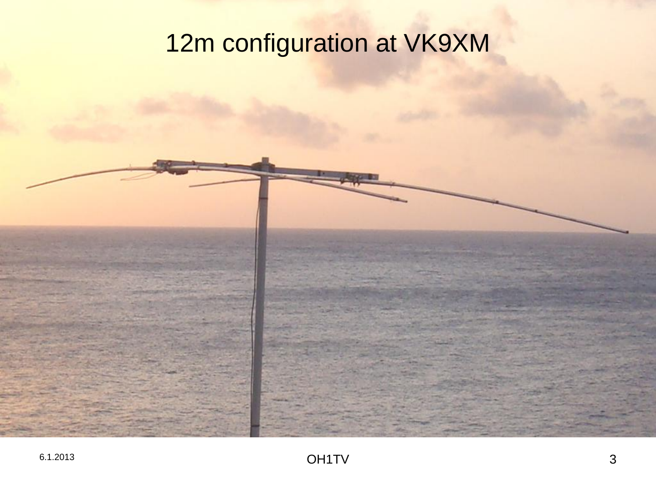# 12m configuration at VK9XM

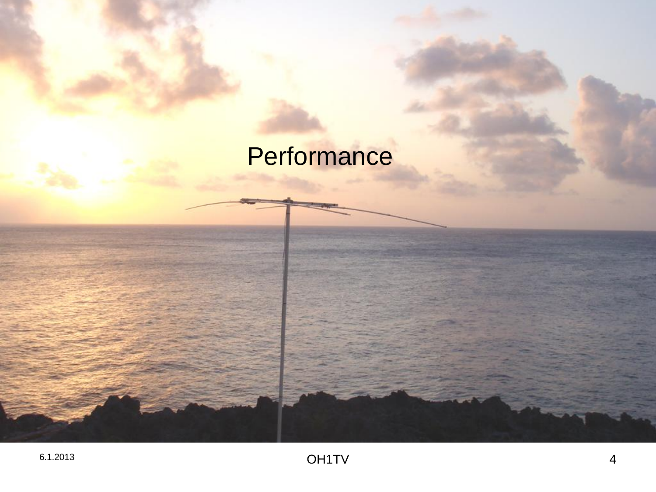# **Performance**

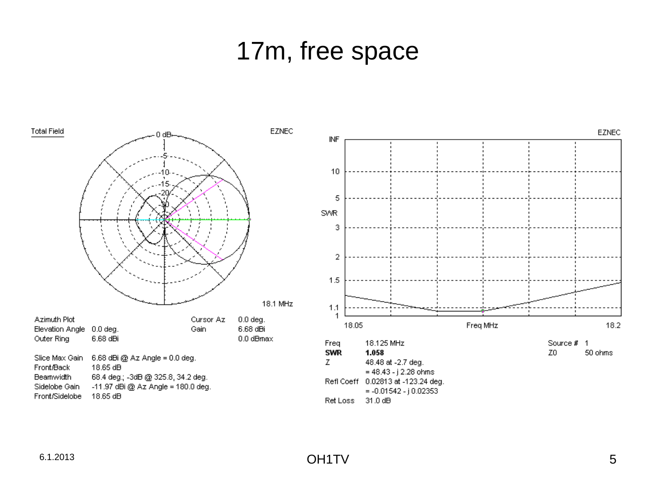#### 17m, free space



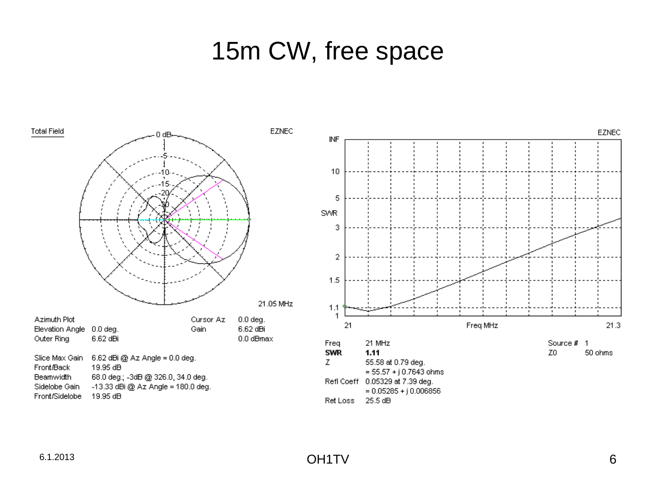#### 15m CW, free space

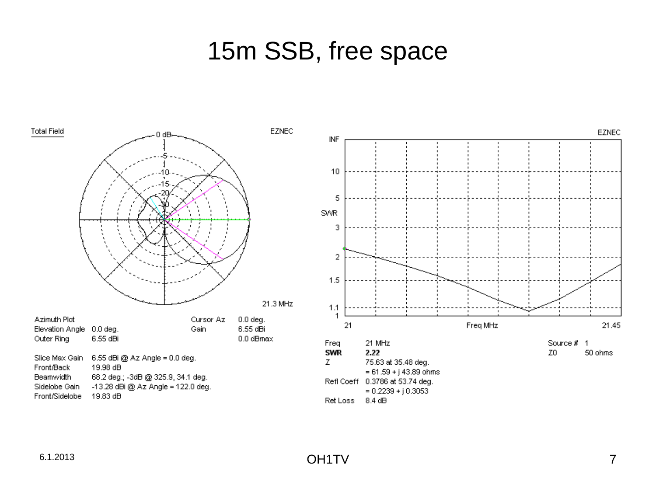#### 15m SSB, free space



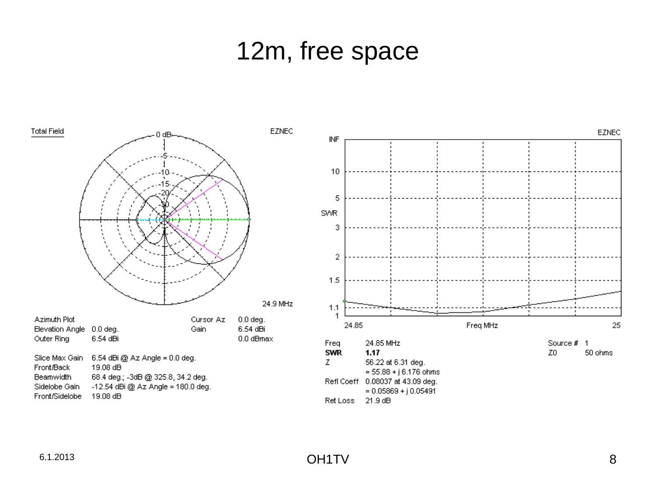#### 12m, free space



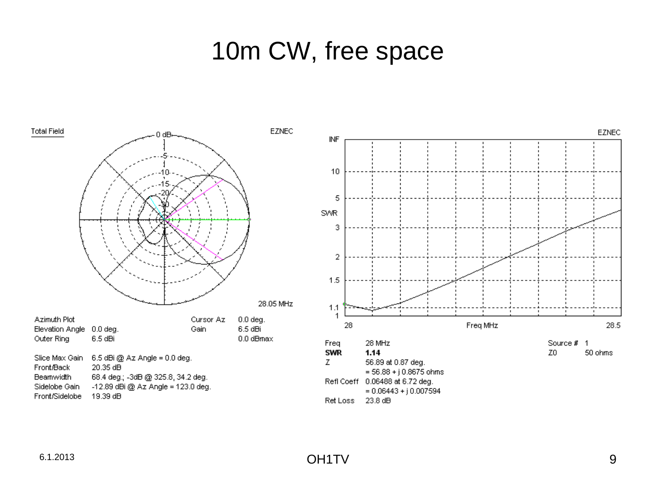#### 10m CW, free space

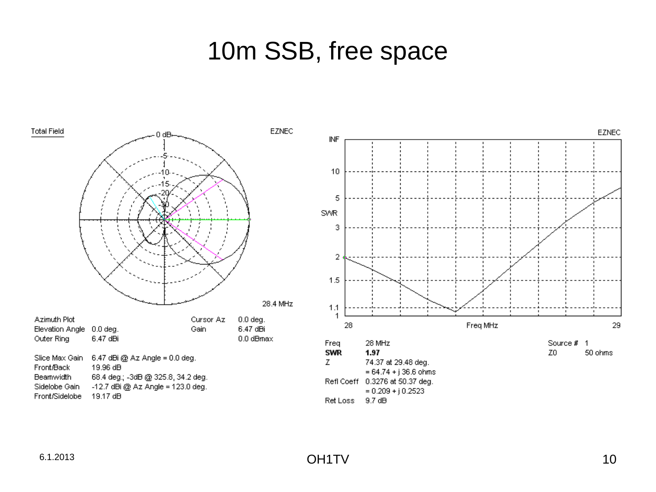#### 10m SSB, free space





**EZNEC**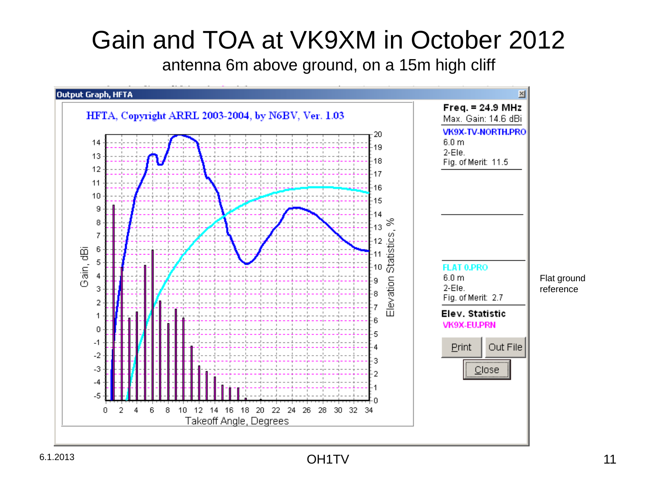# Gain and TOA at VK9XM in October 2012

antenna 6m above ground, on a 15m high cliff

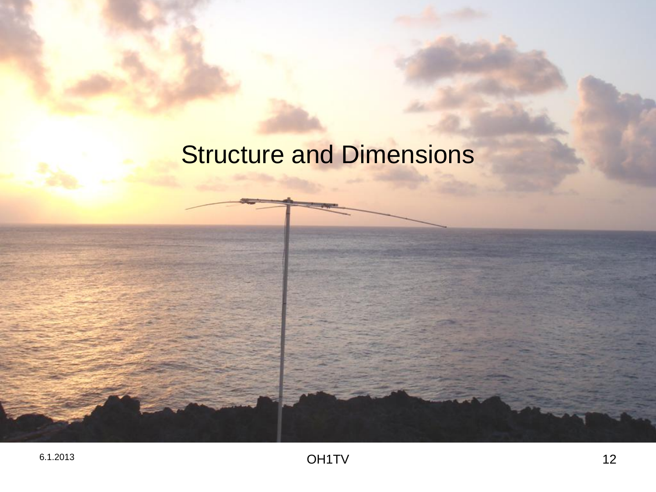## **Structure and Dimensions**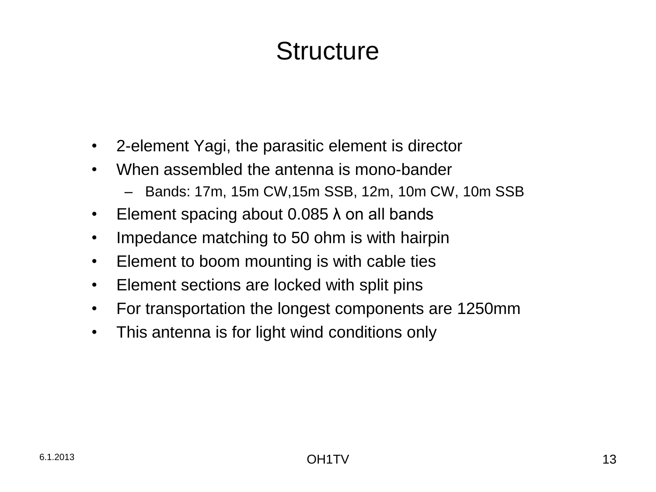# **Structure**

- 2-element Yagi, the parasitic element is director
- When assembled the antenna is mono-bander
	- Bands: 17m, 15m CW,15m SSB, 12m, 10m CW, 10m SSB
- Element spacing about 0.085  $\lambda$  on all bands
- Impedance matching to 50 ohm is with hairpin
- Element to boom mounting is with cable ties
- Element sections are locked with split pins
- For transportation the longest components are 1250mm
- This antenna is for light wind conditions only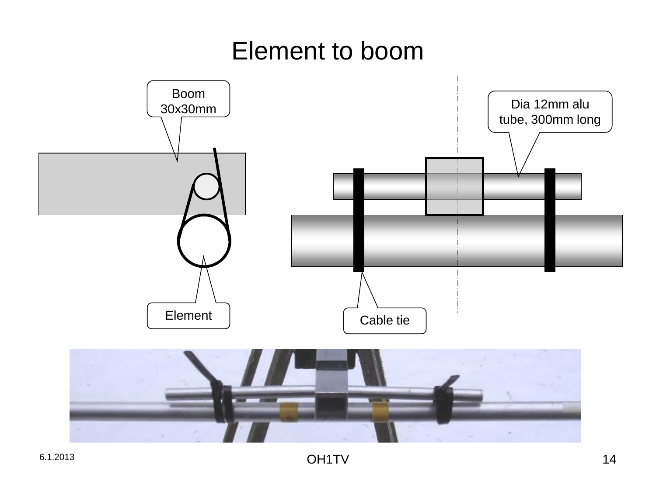#### Element to boom

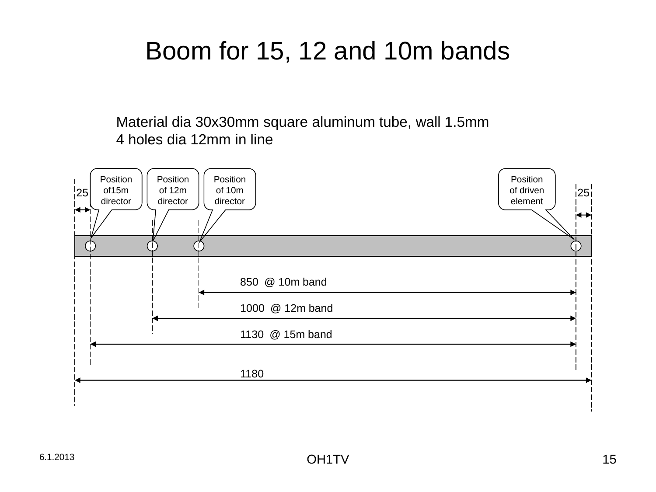# Boom for 15, 12 and 10m bands

Material dia 30x30mm square aluminum tube, wall 1.5mm 4 holes dia 12mm in line

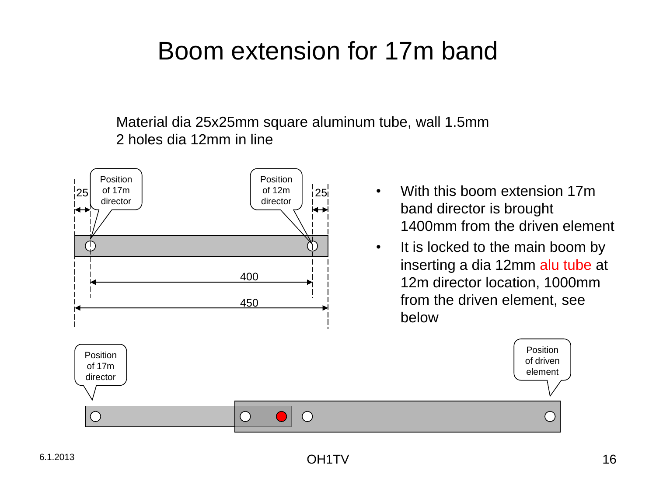# Boom extension for 17m band

Material dia 25x25mm square aluminum tube, wall 1.5mm 2 holes dia 12mm in line

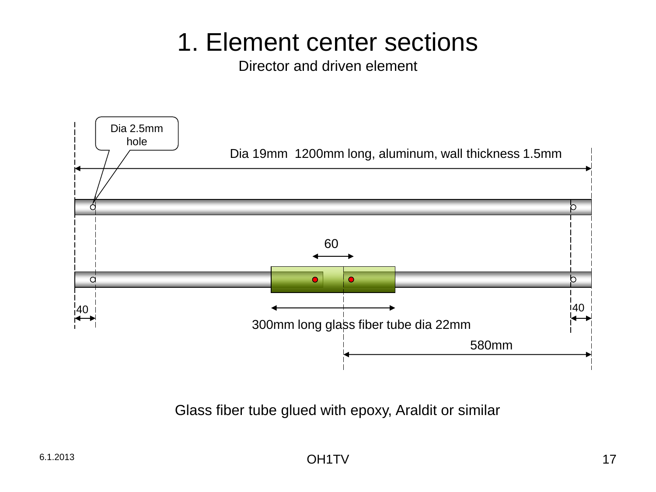# 1. Element center sections

Director and driven element



Glass fiber tube glued with epoxy, Araldit or similar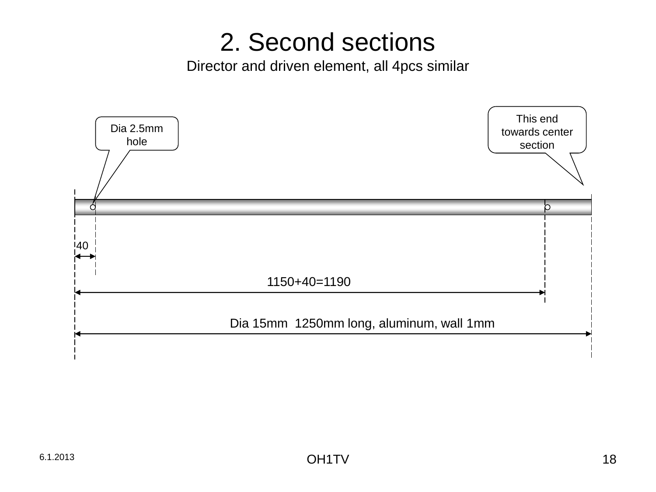#### 2. Second sections

Director and driven element, all 4pcs similar

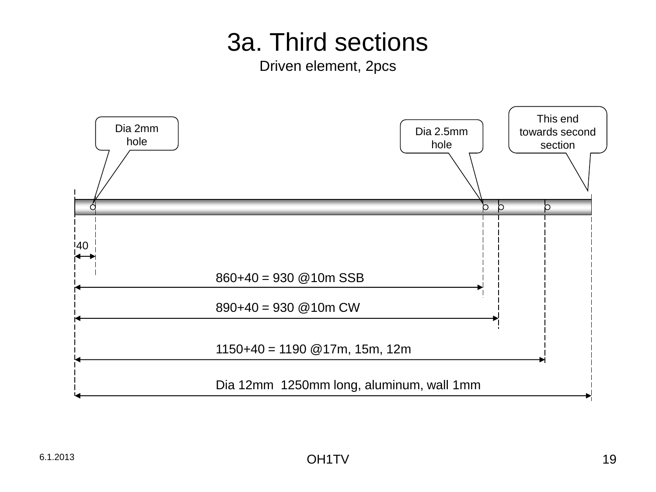# 3a. Third sections

Driven element, 2pcs

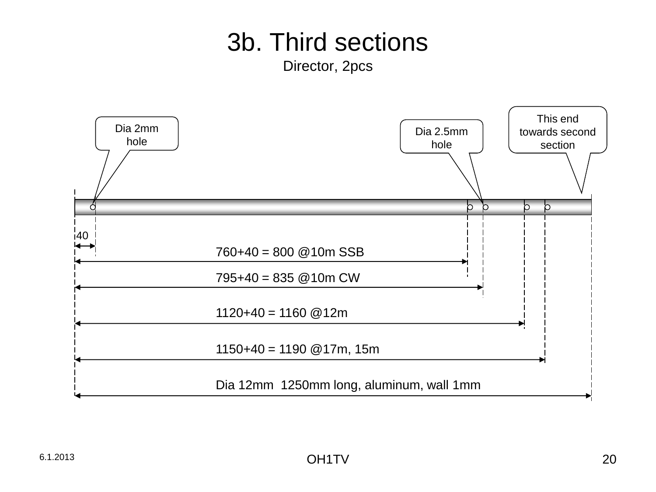# 3b. Third sections

Director, 2pcs

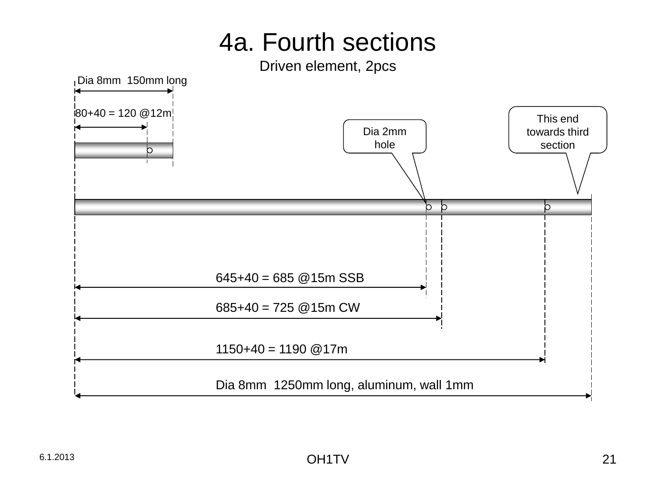# 4a. Fourth sections

Driven element, 2pcs

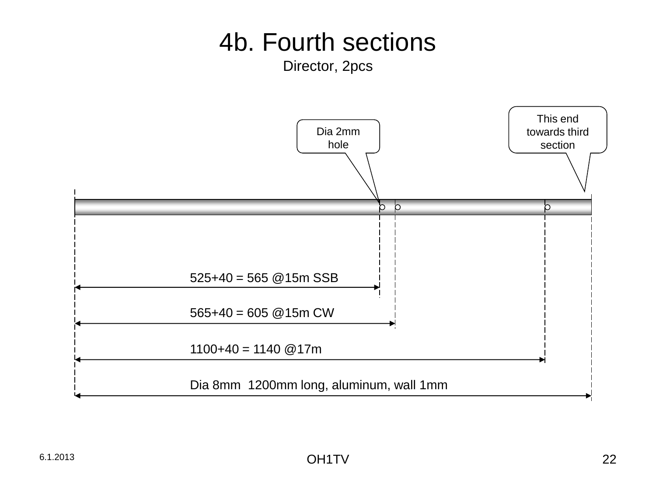# 4b. Fourth sections

Director, 2pcs

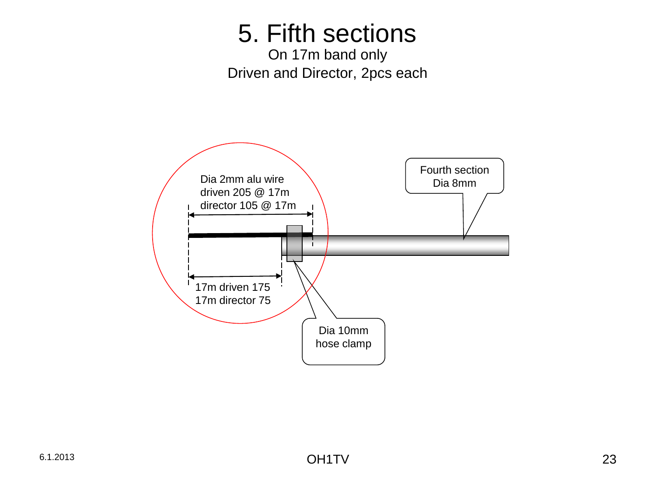# 5. Fifth sections

On 17m band only Driven and Director, 2pcs each

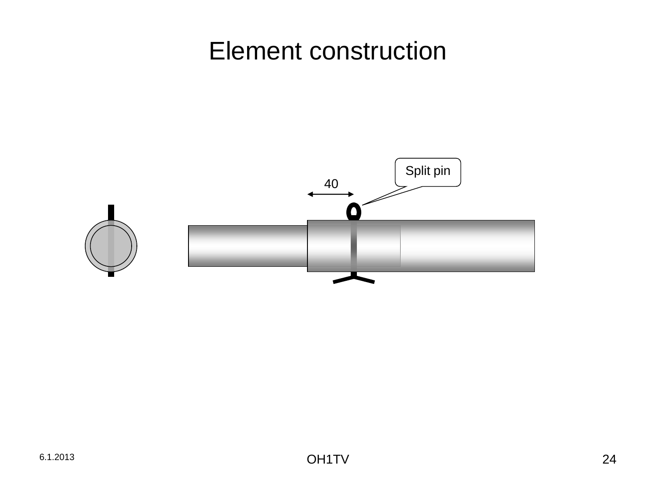#### Element construction

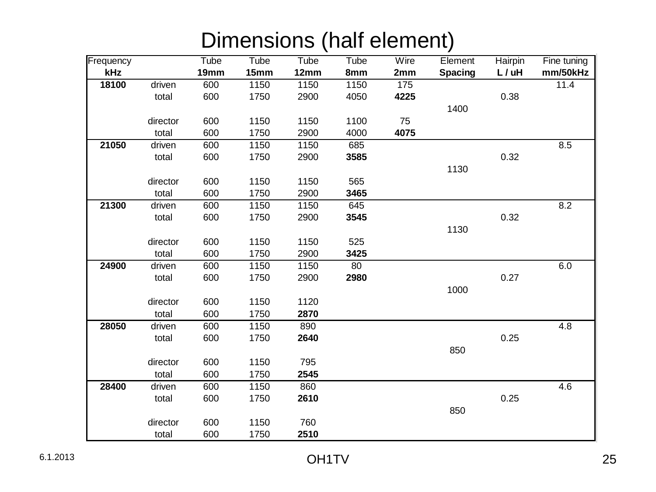#### Dimensions (half element)

| Frequency |          | Tube | Tube | Tube | Tube | Wire | Element        | <b>Hairpin</b> | Fine tuning |
|-----------|----------|------|------|------|------|------|----------------|----------------|-------------|
| kHz       |          | 19mm | 15mm | 12mm | 8mm  | 2mm  | <b>Spacing</b> | L / uH         | mm/50kHz    |
| 18100     | driven   | 600  | 1150 | 1150 | 1150 | 175  |                |                | 11.4        |
|           | total    | 600  | 1750 | 2900 | 4050 | 4225 |                | 0.38           |             |
|           |          |      |      |      |      |      | 1400           |                |             |
|           | director | 600  | 1150 | 1150 | 1100 | 75   |                |                |             |
|           | total    | 600  | 1750 | 2900 | 4000 | 4075 |                |                |             |
| 21050     | driven   | 600  | 1150 | 1150 | 685  |      |                |                | 8.5         |
|           | total    | 600  | 1750 | 2900 | 3585 |      |                | 0.32           |             |
|           |          |      |      |      |      |      | 1130           |                |             |
|           | director | 600  | 1150 | 1150 | 565  |      |                |                |             |
|           | total    | 600  | 1750 | 2900 | 3465 |      |                |                |             |
| 21300     | driven   | 600  | 1150 | 1150 | 645  |      |                |                | 8.2         |
|           | total    | 600  | 1750 | 2900 | 3545 |      |                | 0.32           |             |
|           |          |      |      |      |      |      | 1130           |                |             |
|           | director | 600  | 1150 | 1150 | 525  |      |                |                |             |
|           | total    | 600  | 1750 | 2900 | 3425 |      |                |                |             |
| 24900     | driven   | 600  | 1150 | 1150 | 80   |      |                |                | 6.0         |
|           | total    | 600  | 1750 | 2900 | 2980 |      |                | 0.27           |             |
|           |          |      |      |      |      |      | 1000           |                |             |
|           | director | 600  | 1150 | 1120 |      |      |                |                |             |
|           | total    | 600  | 1750 | 2870 |      |      |                |                |             |
| 28050     | driven   | 600  | 1150 | 890  |      |      |                |                | 4.8         |
|           | total    | 600  | 1750 | 2640 |      |      |                | 0.25           |             |
|           |          |      |      |      |      |      | 850            |                |             |
|           | director | 600  | 1150 | 795  |      |      |                |                |             |
|           | total    | 600  | 1750 | 2545 |      |      |                |                |             |
| 28400     | driven   | 600  | 1150 | 860  |      |      |                |                | 4.6         |
|           | total    | 600  | 1750 | 2610 |      |      |                | 0.25           |             |
|           |          |      |      |      |      |      | 850            |                |             |
|           | director | 600  | 1150 | 760  |      |      |                |                |             |
|           | total    | 600  | 1750 | 2510 |      |      |                |                |             |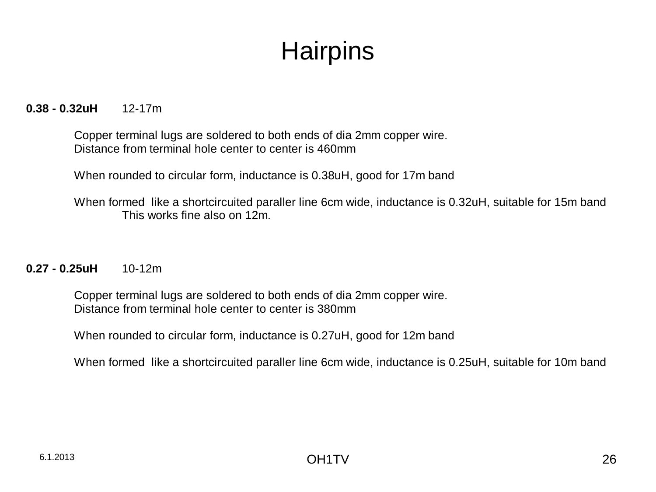# **Hairpins**

#### **0.38 - 0.32uH** 12-17m

Copper terminal lugs are soldered to both ends of dia 2mm copper wire. Distance from terminal hole center to center is 460mm

When rounded to circular form, inductance is 0.38uH, good for 17m band

When formed like a shortcircuited paraller line 6cm wide, inductance is 0.32uH, suitable for 15m band This works fine also on 12m.

**0.27 - 0.25uH** 10-12m

Copper terminal lugs are soldered to both ends of dia 2mm copper wire. Distance from terminal hole center to center is 380mm

When rounded to circular form, inductance is 0.27uH, good for 12m band

When formed like a shortcircuited paraller line 6cm wide, inductance is 0.25uH, suitable for 10m band